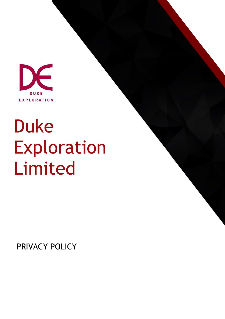

# Duke Exploration Limited

PRIVACY POLICY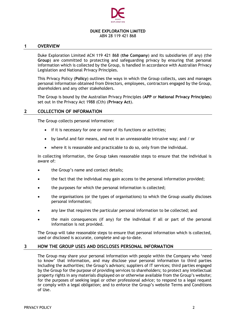

#### **DUKE EXPLORATION LIMITED** ABN 28 119 421 868

#### **1 OVERVIEW**

Duke Exploration Limited ACN 119 421 868 (**the Company**) and its subsidiaries (if any) (the **Group**) are committed to protecting and safeguarding privacy by ensuring that personal information which is collected by the Group, is handled in accordance with Australian Privacy Legislation and National Privacy Principles.

This Privacy Policy (**Policy**) outlines the ways in which the Group collects, uses and manages personal information obtained from Directors, employees, contractors engaged by the Group, shareholders and any other stakeholders.

The Group is bound by the Australian Privacy Principles (**APP** or **National Privacy Principles**) set out in the Privacy Act 1988 (Cth) (**Privacy Act**).

## **2 COLLECTION OF INFORMATION**

The Group collects personal information:

- if it is necessary for one or more of its functions or activities;
- by lawful and fair means, and not in an unreasonable intrusive way; and / or
- where it is reasonable and practicable to do so, only from the individual.

In collecting information, the Group takes reasonable steps to ensure that the individual is aware of:

- the Group's name and contact details;
- the fact that the individual may gain access to the personal information provided;
- the purposes for which the personal information is collected;
- the organisations (or the types of organisations) to which the Group usually discloses personal information;
- any law that requires the particular personal information to be collected; and
- the main consequences (if any) for the individual if all or part of the personal information is not provided.

The Group will take reasonable steps to ensure that personal information which is collected, used or disclosed is accurate, complete and up-to-date.

## **3 HOW THE GROUP USES AND DISCLOSES PERSONAL INFORMATION**

The Group may share your personal information with people within the Company who 'need to know' that information, and may disclose your personal information to third parties including the authorities; the Group's advisors; suppliers of IT services; third parties engaged by the Group for the purpose of providing services to shareholders; to protect any intellectual property rights in any materials displayed on or otherwise available from the Group's website; for the purposes of seeking legal or other professional advice; to respond to a legal request or comply with a legal obligation; and to enforce the Group's website Terms and Conditions of Use.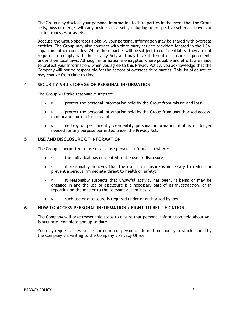The Group may disclose your personal information to third parties in the event that the Group sells, buys or merges with any business or assets, including to prospective sellers or buyers of such businesses or assets.

Because the Group operates globally, your personal information may be shared with overseas entities. The Group may also contract with third party service providers located in the USA, Japan and other countries. While these parties will be subject to confidentiality, they are not required to comply with the Privacy Act, and may have different disclosure requirements under their local laws. Although information is encrypted where possible and efforts are made to protect your information, when you agree to this Privacy Policy, you acknowledge that the Company will not be responsible for the actions of overseas third parties. This list of countries may change from time to time.

# **4 SECURITY AND STORAGE OF PERSONAL INFORMATION**

The Group will take reasonable steps to:

- $\Box$  protect the personal information held by the Group from misuse and loss;
- protect the personal information held by the Group from unauthorised access, modification or disclosure; and
- destroy or permanently de-identify personal information if it is no longer needed for any purpose permitted under the Privacy Act.

## **5 USE AND DISCLOSURE OF INFORMATION**

The Group is permitted to use or disclose personal information where:

- $\Box$  the individual has consented to the use or disclosure;
- it reasonably believes that the use or disclosure is necessary to reduce or prevent a serious, immediate threat to health or safety;
- $\Box$  it reasonably suspects that unlawful activity has been, is being or may be engaged in and the use or disclosure is a necessary part of its investigation, or in reporting on the matter to the relevant authorities; or
- $\bullet$   $\Box$  such use or disclosure is required under or authorised by law.

## **6 HOW TO ACCESS PERSONAL INFORMATION / RIGHT TO RECTIFICATION**

The Company will take reasonable steps to ensure that personal information held about you is accurate, complete and up to date.

You may request access to, or correction of personal information about you which is held by the Company via writing to the Company's Privacy Officer.